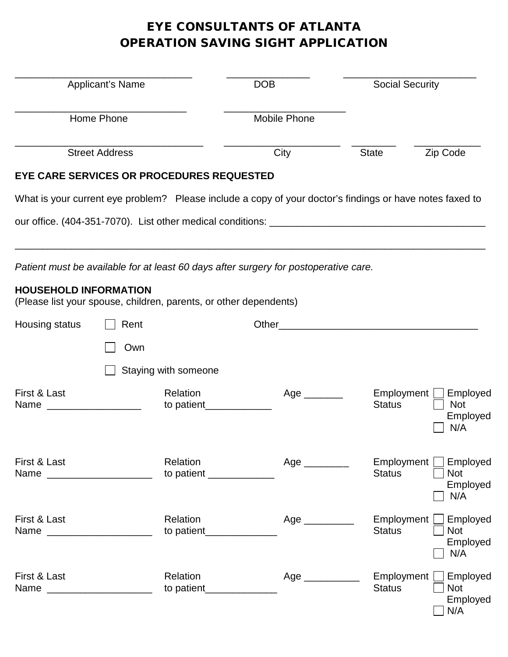# EYE CONSULTANTS OF ATLANTA OPERATION SAVING SIGHT APPLICATION

| Applicant's Name<br>Home Phone                                                                    |                       |                                       | <b>DOB</b>                                                                                               | <b>Social Security</b>      |                                           |
|---------------------------------------------------------------------------------------------------|-----------------------|---------------------------------------|----------------------------------------------------------------------------------------------------------|-----------------------------|-------------------------------------------|
|                                                                                                   |                       |                                       | <b>Mobile Phone</b>                                                                                      |                             |                                           |
|                                                                                                   | <b>Street Address</b> |                                       | City                                                                                                     | <b>State</b>                | Zip Code                                  |
| EYE CARE SERVICES OR PROCEDURES REQUESTED                                                         |                       |                                       |                                                                                                          |                             |                                           |
|                                                                                                   |                       |                                       | What is your current eye problem? Please include a copy of your doctor's findings or have notes faxed to |                             |                                           |
|                                                                                                   |                       |                                       |                                                                                                          |                             |                                           |
|                                                                                                   |                       |                                       |                                                                                                          |                             |                                           |
|                                                                                                   |                       |                                       | Patient must be available for at least 60 days after surgery for postoperative care.                     |                             |                                           |
| <b>HOUSEHOLD INFORMATION</b><br>(Please list your spouse, children, parents, or other dependents) |                       |                                       |                                                                                                          |                             |                                           |
| Housing status                                                                                    | Rent                  |                                       | Other                                                                                                    |                             |                                           |
|                                                                                                   | Own                   |                                       |                                                                                                          |                             |                                           |
|                                                                                                   |                       | Staying with someone                  |                                                                                                          |                             |                                           |
| First & Last<br>Name                                                                              |                       | Relation<br>to patient                | Age _______                                                                                              | Employment<br><b>Status</b> | Employed<br><b>Not</b><br>Employed<br>N/A |
| First & Last<br>Name ________________________                                                     |                       | Relation<br>to patient ____________   | $Age$ <sub>_____________</sub>                                                                           | Employment<br><b>Status</b> | Employed<br><b>Not</b><br>Employed<br>N/A |
| First & Last<br>Name ______________________                                                       |                       | Relation<br>to patient_______________ | Age _________                                                                                            | Employment<br><b>Status</b> | Employed<br><b>Not</b><br>Employed<br>N/A |
| First & Last                                                                                      |                       | Relation                              | Age $\qquad$                                                                                             | Employment<br><b>Status</b> | Employed<br><b>Not</b><br>Employed<br>N/A |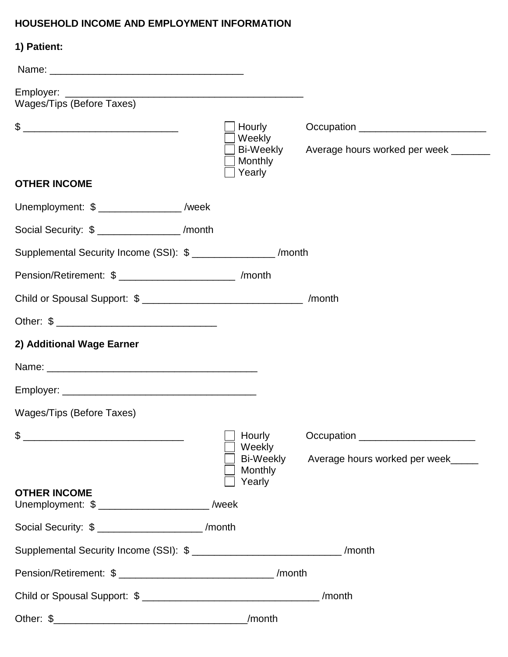## **HOUSEHOLD INCOME AND EMPLOYMENT INFORMATION**

| 1) Patient:                                                                    |                                                    |                                                                                                                                                                                                                                                                            |
|--------------------------------------------------------------------------------|----------------------------------------------------|----------------------------------------------------------------------------------------------------------------------------------------------------------------------------------------------------------------------------------------------------------------------------|
|                                                                                |                                                    |                                                                                                                                                                                                                                                                            |
| Wages/Tips (Before Taxes)                                                      |                                                    |                                                                                                                                                                                                                                                                            |
|                                                                                | Hourly<br>Weekly<br>Bi-Weekly<br>Monthly<br>Yearly | Occupation ____________________________<br>Average hours worked per week _______                                                                                                                                                                                           |
| <b>OTHER INCOME</b>                                                            |                                                    |                                                                                                                                                                                                                                                                            |
| Unemployment: \$ ________________ /week                                        |                                                    |                                                                                                                                                                                                                                                                            |
| Social Security: \$ _________________ /month                                   |                                                    |                                                                                                                                                                                                                                                                            |
| Supplemental Security Income (SSI): \$ ________________ /month                 |                                                    |                                                                                                                                                                                                                                                                            |
| Pension/Retirement: \$ _________________________ /month                        |                                                    |                                                                                                                                                                                                                                                                            |
|                                                                                |                                                    |                                                                                                                                                                                                                                                                            |
|                                                                                |                                                    |                                                                                                                                                                                                                                                                            |
| 2) Additional Wage Earner                                                      |                                                    |                                                                                                                                                                                                                                                                            |
|                                                                                |                                                    |                                                                                                                                                                                                                                                                            |
|                                                                                |                                                    |                                                                                                                                                                                                                                                                            |
| Wages/Tips (Before Taxes)                                                      |                                                    |                                                                                                                                                                                                                                                                            |
|                                                                                | Hourly<br>Weekly<br>Bi-Weekly<br>Monthly<br>Yearly | Occupation <u>example and the set of the set of the set of the set of the set of the set of the set of the set of the set of the set of the set of the set of the set of the set of the set of the set of the set of the set of </u><br>Average hours worked per week_____ |
| <b>OTHER INCOME</b><br>Unemployment: \$ ______________________ /week           |                                                    |                                                                                                                                                                                                                                                                            |
| Social Security: \$ ______________________ /month                              |                                                    |                                                                                                                                                                                                                                                                            |
| Supplemental Security Income (SSI): \$ _________________________________/month |                                                    |                                                                                                                                                                                                                                                                            |
|                                                                                |                                                    |                                                                                                                                                                                                                                                                            |
|                                                                                |                                                    | /month                                                                                                                                                                                                                                                                     |
|                                                                                | _/month                                            |                                                                                                                                                                                                                                                                            |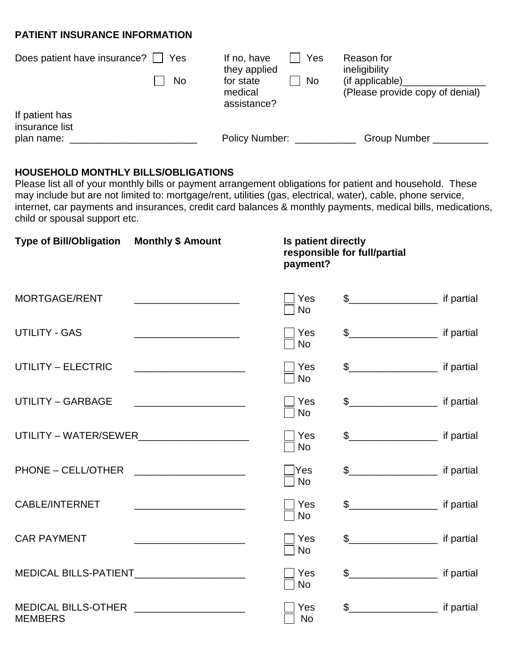### **PATIENT INSURANCE INFORMATION**

| Does patient have insurance?<br>Yes | Yes<br>If no, have<br>they applied        | Reason for<br>ineligibility                        |
|-------------------------------------|-------------------------------------------|----------------------------------------------------|
| <b>No</b>                           | No<br>for state<br>medical<br>assistance? | (if applicable)<br>(Please provide copy of denial) |
| If patient has<br>insurance list    |                                           |                                                    |
| plan name:                          | <b>Policy Number:</b>                     | <b>Group Number</b>                                |

### **HOUSEHOLD MONTHLY BILLS/OBLIGATIONS**

Please list all of your monthly bills or payment arrangement obligations for patient and household. These may include but are not limited to: mortgage/rent, utilities (gas, electrical, water), cable, phone service, internet, car payments and insurances, credit card balances & monthly payments, medical bills, medications, child or spousal support etc.

| <b>Type of Bill/Obligation</b>                               | <b>Monthly \$ Amount</b>                                                                                                | Is patient directly<br>payment? | responsible for full/partial |            |
|--------------------------------------------------------------|-------------------------------------------------------------------------------------------------------------------------|---------------------------------|------------------------------|------------|
| <b>MORTGAGE/RENT</b>                                         |                                                                                                                         | Yes<br><b>No</b>                | $\frac{1}{2}$ if partial     |            |
| <b>UTILITY - GAS</b>                                         |                                                                                                                         | Yes<br><b>No</b>                | $\frac{1}{2}$ if partial     |            |
| <b>UTILITY - ELECTRIC</b>                                    |                                                                                                                         | Yes<br><b>No</b>                | \$ if partial                |            |
| <b>UTILITY - GARBAGE</b>                                     |                                                                                                                         | Yes<br><b>No</b>                | $\frac{1}{2}$ if partial     |            |
|                                                              | UTILITY - WATER/SEWER________________________                                                                           | Yes<br><b>No</b>                | \$                           |            |
| PHONE – CELL/OTHER                                           |                                                                                                                         | ∏Yes<br><b>No</b>               |                              |            |
| <b>CABLE/INTERNET</b>                                        | <u> 1989 - Johann John Stone, markin sanadi a shekara 1980 - An tsa a shekara 1980 - An tsa a shekara 1981 - An tsa</u> | Yes<br><b>No</b>                | $\frac{1}{2}$ if partial     |            |
| <b>CAR PAYMENT</b>                                           |                                                                                                                         | Yes<br><b>No</b>                | $\frac{1}{2}$ if partial     |            |
| MEDICAL BILLS-PATIENT____________________                    |                                                                                                                         | Yes<br><b>No</b>                | \$                           |            |
| MEDICAL BILLS-OTHER <b>NAMEDICAL BILLS</b><br><b>MEMBERS</b> |                                                                                                                         | Yes<br><b>No</b>                |                              | if partial |